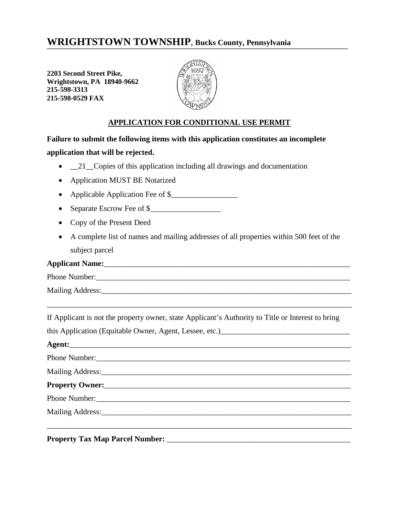# WRIGHTSTOWN TOWNSHIP, Bucks County, Pennsylvania

**2203 Second Street Pike, Wrightstown, PA 18940-9662 215-598-3313 215-598-0529 FAX**



#### **APPLICATION FOR CONDITIONAL USE PERMIT**

**Failure to submit the following items with this application constitutes an incomplete application that will be rejected.**

•  $\_\_21\_\_C$ Copies of this application including all drawings and documentation

- Application MUST BE Notarized
- Applicable Application Fee of \$
- Separate Escrow Fee of \$
- Copy of the Present Deed
- A complete list of names and mailing addresses of all properties within 500 feet of the subject parcel

Phone Number:\_\_\_\_\_\_\_\_\_\_\_\_\_\_\_\_\_\_\_\_\_\_\_\_\_\_\_\_\_\_\_\_\_\_\_\_\_\_\_\_\_\_\_\_\_\_\_\_\_\_\_\_\_\_\_\_\_\_\_\_\_\_\_\_\_

Mailing Address:\_\_\_\_\_\_\_\_\_\_\_\_\_\_\_\_\_\_\_\_\_\_\_\_\_\_\_\_\_\_\_\_\_\_\_\_\_\_\_\_\_\_\_\_\_\_\_\_\_\_\_\_\_\_\_\_\_\_\_\_\_\_\_\_

If Applicant is not the property owner, state Applicant's Authority to Title or Interest to bring

\_\_\_\_\_\_\_\_\_\_\_\_\_\_\_\_\_\_\_\_\_\_\_\_\_\_\_\_\_\_\_\_\_\_\_\_\_\_\_\_\_\_\_\_\_\_\_\_\_\_\_\_\_\_\_\_\_\_\_\_\_\_\_\_\_\_\_\_\_\_\_\_\_\_\_\_\_\_

this Application (Equitable Owner, Agent, Lessee, etc.)

Agent: Phone Number: Mailing Address:\_\_\_\_\_\_\_\_\_\_\_\_\_\_\_\_\_\_\_\_\_\_\_\_\_\_\_\_\_\_\_\_\_\_\_\_\_\_\_\_\_\_\_\_\_\_\_\_\_\_\_\_\_\_\_\_\_\_\_\_\_\_\_\_ **Property Owner:**\_\_\_\_\_\_\_\_\_\_\_\_\_\_\_\_\_\_\_\_\_\_\_\_\_\_\_\_\_\_\_\_\_\_\_\_\_\_\_\_\_\_\_\_\_\_\_\_\_\_\_\_\_\_\_\_\_\_\_\_\_\_\_ Phone Number: Mailing Address:\_\_\_\_\_\_\_\_\_\_\_\_\_\_\_\_\_\_\_\_\_\_\_\_\_\_\_\_\_\_\_\_\_\_\_\_\_\_\_\_\_\_\_\_\_\_\_\_\_\_\_\_\_\_\_\_\_\_\_\_\_\_\_\_ \_\_\_\_\_\_\_\_\_\_\_\_\_\_\_\_\_\_\_\_\_\_\_\_\_\_\_\_\_\_\_\_\_\_\_\_\_\_\_\_\_\_\_\_\_\_\_\_\_\_\_\_\_\_\_\_\_\_\_\_\_\_\_\_\_\_\_\_\_\_\_\_\_\_\_\_\_\_

**Property Tax Map Parcel Number:** \_\_\_\_\_\_\_\_\_\_\_\_\_\_\_\_\_\_\_\_\_\_\_\_\_\_\_\_\_\_\_\_\_\_\_\_\_\_\_\_\_\_\_\_\_\_\_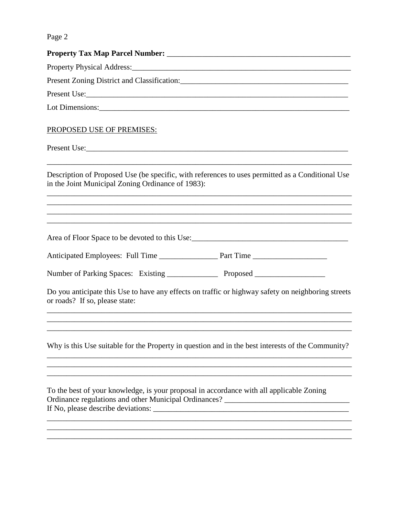| Property Physical Address: 2008. [2016] Property Physical Address:                                                                                                                                                                        |
|-------------------------------------------------------------------------------------------------------------------------------------------------------------------------------------------------------------------------------------------|
| Present Zoning District and Classification: Manual Manual Manual Manual Manual Manual Manual Manual Manual                                                                                                                                |
|                                                                                                                                                                                                                                           |
|                                                                                                                                                                                                                                           |
| PROPOSED USE OF PREMISES:                                                                                                                                                                                                                 |
| Present Use: <u>contract the contract of the contract of the contract of the contract of the contract of the contract of the contract of the contract of the contract of the contract of the contract of the contract of the con</u>      |
| Description of Proposed Use (be specific, with references to uses permitted as a Conditional Use<br>in the Joint Municipal Zoning Ordinance of 1983):<br>,我们也不会有什么。""我们的人,我们也不会有什么?""我们的人,我们也不会有什么?""我们的人,我们也不会有什么?""我们的人,我们也不会有什么?""我们的人 |
| <u> 1990 - Jan James James James James James James James James James James James James James James James James J</u>                                                                                                                      |
|                                                                                                                                                                                                                                           |
|                                                                                                                                                                                                                                           |
|                                                                                                                                                                                                                                           |
| Do you anticipate this Use to have any effects on traffic or highway safety on neighboring streets<br>or roads? If so, please state:                                                                                                      |
| ,我们也不能在这里的时候,我们也不能在这里的时候,我们也不能会在这里的时候,我们也不能会在这里的时候,我们也不能会在这里的时候,我们也不能会在这里的时候,我们也不                                                                                                                                                         |
| Why is this Use suitable for the Property in question and in the best interests of the Community?                                                                                                                                         |
|                                                                                                                                                                                                                                           |
| To the best of your knowledge, is your proposal in accordance with all applicable Zoning<br>Ordinance regulations and other Municipal Ordinances? ___________________________                                                             |
|                                                                                                                                                                                                                                           |
|                                                                                                                                                                                                                                           |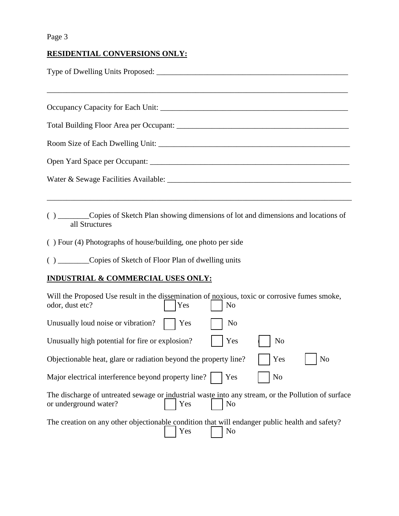#### **RESIDENTIAL CONVERSIONS ONLY:**

- ( ) \_\_\_\_\_\_\_\_Copies of Sketch Plan showing dimensions of lot and dimensions and locations of all Structures
- ( ) Four (4) Photographs of house/building, one photo per side

( ) \_\_\_\_\_\_\_\_Copies of Sketch of Floor Plan of dwelling units

### **INDUSTRIAL & COMMERCIAL USES ONLY:**

| Will the Proposed Use result in the dissemination of noxious, toxic or corrosive fumes smoke,<br>odor, dust etc?                                            | Yes | N <sub>0</sub> |                |                |  |  |
|-------------------------------------------------------------------------------------------------------------------------------------------------------------|-----|----------------|----------------|----------------|--|--|
| Unusually loud noise or vibration?                                                                                                                          | Yes | N <sub>0</sub> |                |                |  |  |
| Unusually high potential for fire or explosion?                                                                                                             |     | Yes            | N <sub>o</sub> |                |  |  |
| Objectionable heat, glare or radiation beyond the property line?                                                                                            |     |                | Yes            | N <sub>o</sub> |  |  |
| Major electrical interference beyond property line?     Yes                                                                                                 |     |                | N <sub>0</sub> |                |  |  |
| The discharge of untreated sewage or industrial waste into any stream, or the Pollution of surface<br><b>Yes</b><br>N <sub>0</sub><br>or underground water? |     |                |                |                |  |  |
| The creation on any other objectionable condition that will endanger public health and safety?<br>Yes  <br>$\vert$ No                                       |     |                |                |                |  |  |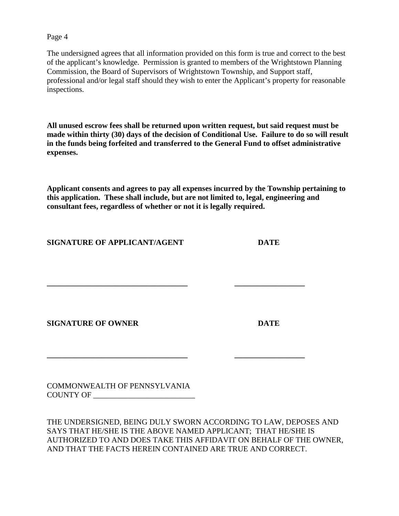The undersigned agrees that all information provided on this form is true and correct to the best of the applicant's knowledge. Permission is granted to members of the Wrightstown Planning Commission, the Board of Supervisors of Wrightstown Township, and Support staff, professional and/or legal staff should they wish to enter the Applicant's property for reasonable inspections.

**All unused escrow fees shall be returned upon written request, but said request must be made within thirty (30) days of the decision of Conditional Use. Failure to do so will result in the funds being forfeited and transferred to the General Fund to offset administrative expenses.**

**Applicant consents and agrees to pay all expenses incurred by the Township pertaining to this application. These shall include, but are not limited to, legal, engineering and consultant fees, regardless of whether or not it is legally required.**

**\_\_\_\_\_\_\_\_\_\_\_\_\_\_\_\_\_\_\_\_\_\_\_\_\_\_\_\_\_\_\_\_\_\_\_\_ \_\_\_\_\_\_\_\_\_\_\_\_\_\_\_\_\_\_**

**\_\_\_\_\_\_\_\_\_\_\_\_\_\_\_\_\_\_\_\_\_\_\_\_\_\_\_\_\_\_\_\_\_\_\_\_ \_\_\_\_\_\_\_\_\_\_\_\_\_\_\_\_\_\_**

**SIGNATURE OF APPLICANT/AGENT DATE**

**SIGNATURE OF OWNER DATE**

COMMONWEALTH OF PENNSYLVANIA COUNTY OF \_\_\_\_\_\_\_\_\_\_\_\_\_\_\_\_\_\_\_\_\_\_\_\_\_\_

THE UNDERSIGNED, BEING DULY SWORN ACCORDING TO LAW, DEPOSES AND SAYS THAT HE/SHE IS THE ABOVE NAMED APPLICANT; THAT HE/SHE IS AUTHORIZED TO AND DOES TAKE THIS AFFIDAVIT ON BEHALF OF THE OWNER, AND THAT THE FACTS HEREIN CONTAINED ARE TRUE AND CORRECT.